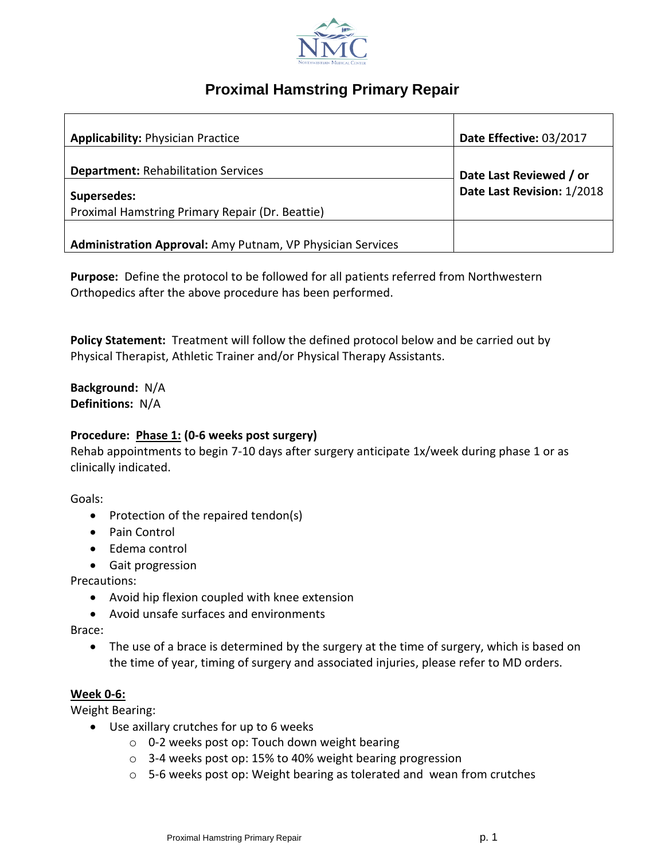

# **Proximal Hamstring Primary Repair**

| <b>Applicability: Physician Practice</b>                              | Date Effective: 03/2017    |
|-----------------------------------------------------------------------|----------------------------|
| <b>Department: Rehabilitation Services</b>                            | Date Last Reviewed / or    |
| <b>Supersedes:</b><br>Proximal Hamstring Primary Repair (Dr. Beattie) | Date Last Revision: 1/2018 |
| Administration Approval: Amy Putnam, VP Physician Services            |                            |

**Purpose:** Define the protocol to be followed for all patients referred from Northwestern Orthopedics after the above procedure has been performed.

**Policy Statement:** Treatment will follow the defined protocol below and be carried out by Physical Therapist, Athletic Trainer and/or Physical Therapy Assistants.

**Background:** N/A **Definitions:** N/A

#### **Procedure: Phase 1: (0-6 weeks post surgery)**

Rehab appointments to begin 7-10 days after surgery anticipate 1x/week during phase 1 or as clinically indicated.

Goals:

- Protection of the repaired tendon(s)
- Pain Control
- Edema control
- Gait progression

Precautions:

- Avoid hip flexion coupled with knee extension
- Avoid unsafe surfaces and environments

Brace:

 The use of a brace is determined by the surgery at the time of surgery, which is based on the time of year, timing of surgery and associated injuries, please refer to MD orders.

### **Week 0-6:**

Weight Bearing:

- Use axillary crutches for up to 6 weeks
	- o 0-2 weeks post op: Touch down weight bearing
	- o 3-4 weeks post op: 15% to 40% weight bearing progression
	- $\circ$  5-6 weeks post op: Weight bearing as tolerated and wean from crutches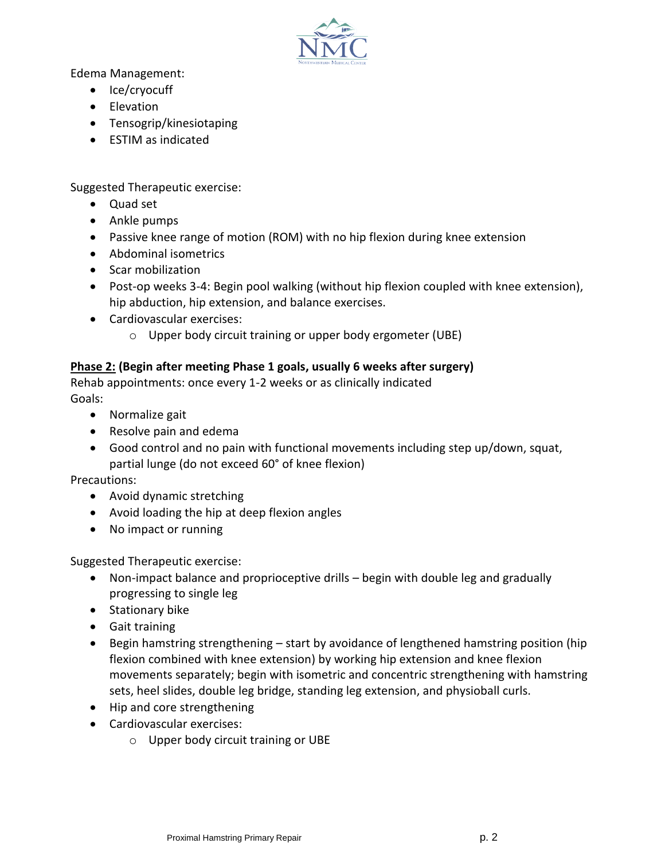

Edema Management:

- Ice/cryocuff
- Elevation
- Tensogrip/kinesiotaping
- **ESTIM as indicated**

Suggested Therapeutic exercise:

- Quad set
- Ankle pumps
- Passive knee range of motion (ROM) with no hip flexion during knee extension
- Abdominal isometrics
- Scar mobilization
- Post-op weeks 3-4: Begin pool walking (without hip flexion coupled with knee extension), hip abduction, hip extension, and balance exercises.
- Cardiovascular exercises:
	- o Upper body circuit training or upper body ergometer (UBE)

# **Phase 2: (Begin after meeting Phase 1 goals, usually 6 weeks after surgery)**

Rehab appointments: once every 1-2 weeks or as clinically indicated Goals:

- Normalize gait
- Resolve pain and edema
- Good control and no pain with functional movements including step up/down, squat, partial lunge (do not exceed 60° of knee flexion)

Precautions:

- Avoid dynamic stretching
- Avoid loading the hip at deep flexion angles
- No impact or running

Suggested Therapeutic exercise:

- Non-impact balance and proprioceptive drills begin with double leg and gradually progressing to single leg
- Stationary bike
- Gait training
- Begin hamstring strengthening start by avoidance of lengthened hamstring position (hip flexion combined with knee extension) by working hip extension and knee flexion movements separately; begin with isometric and concentric strengthening with hamstring sets, heel slides, double leg bridge, standing leg extension, and physioball curls.
- Hip and core strengthening
- Cardiovascular exercises:
	- o Upper body circuit training or UBE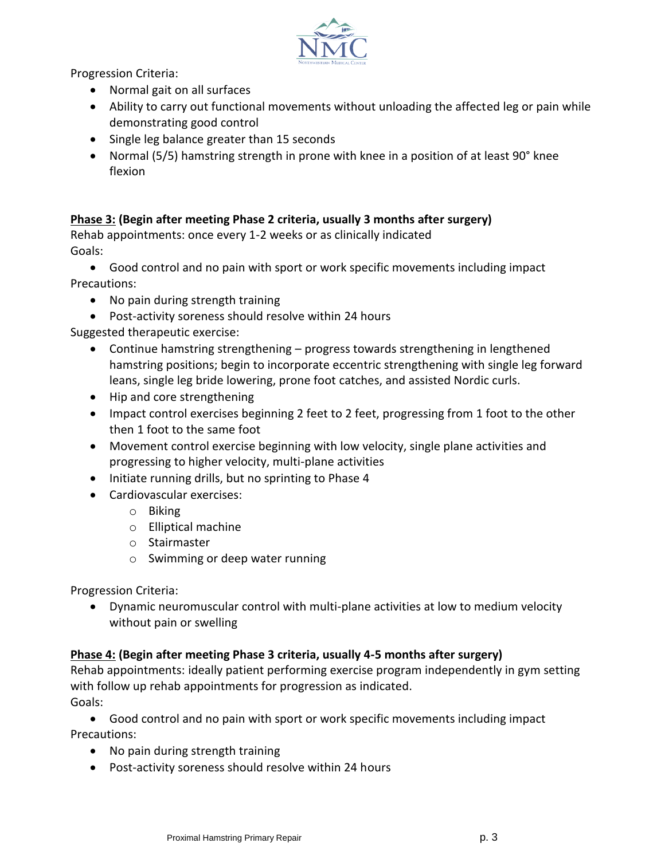

Progression Criteria:

- Normal gait on all surfaces
- Ability to carry out functional movements without unloading the affected leg or pain while demonstrating good control
- Single leg balance greater than 15 seconds
- Normal (5/5) hamstring strength in prone with knee in a position of at least 90° knee flexion

# **Phase 3: (Begin after meeting Phase 2 criteria, usually 3 months after surgery)**

Rehab appointments: once every 1-2 weeks or as clinically indicated Goals:

- Good control and no pain with sport or work specific movements including impact Precautions:
	- No pain during strength training
	- Post-activity soreness should resolve within 24 hours

Suggested therapeutic exercise:

- Continue hamstring strengthening progress towards strengthening in lengthened hamstring positions; begin to incorporate eccentric strengthening with single leg forward leans, single leg bride lowering, prone foot catches, and assisted Nordic curls.
- Hip and core strengthening
- Impact control exercises beginning 2 feet to 2 feet, progressing from 1 foot to the other then 1 foot to the same foot
- Movement control exercise beginning with low velocity, single plane activities and progressing to higher velocity, multi-plane activities
- Initiate running drills, but no sprinting to Phase 4
- Cardiovascular exercises:
	- o Biking
	- o Elliptical machine
	- o Stairmaster
	- o Swimming or deep water running

Progression Criteria:

 Dynamic neuromuscular control with multi-plane activities at low to medium velocity without pain or swelling

### **Phase 4: (Begin after meeting Phase 3 criteria, usually 4-5 months after surgery)**

Rehab appointments: ideally patient performing exercise program independently in gym setting with follow up rehab appointments for progression as indicated. Goals:

 Good control and no pain with sport or work specific movements including impact Precautions:

- No pain during strength training
- Post-activity soreness should resolve within 24 hours